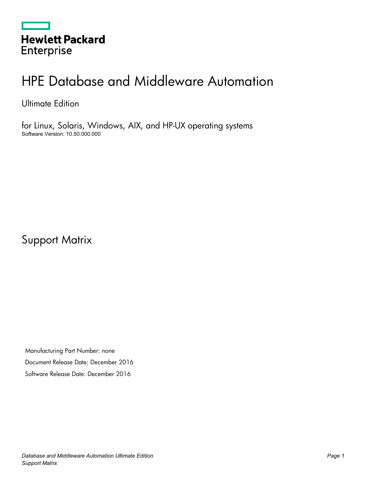|                   | <b>Hewlett Packard</b> |
|-------------------|------------------------|
| <b>Enterprise</b> |                        |

# HPE Database and Middleware Automation

Ultimate Edition

for Linux, Solaris, Windows, AIX, and HP-UX operating systems Software Version: 10.50.000.000

Support Matrix

Manufacturing Part Number: none Document Release Date: December 2016 Software Release Date: December 2016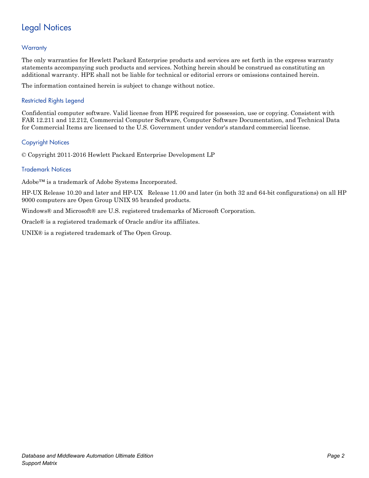# Legal Notices

### **Warranty**

The only warranties for Hewlett Packard Enterprise products and services are set forth in the express warranty statements accompanying such products and services. Nothing herein should be construed as constituting an additional warranty. HPE shall not be liable for technical or editorial errors or omissions contained herein.

The information contained herein is subject to change without notice.

### Restricted Rights Legend

Confidential computer software. Valid license from HPE required for possession, use or copying. Consistent with FAR 12.211 and 12.212, Commercial Computer Software, Computer Software Documentation, and Technical Data for Commercial Items are licensed to the U.S. Government under vendor's standard commercial license.

### Copyright Notices

© Copyright 2011-2016 Hewlett Packard Enterprise Development LP

### Trademark Notices

Adobe™ is a trademark of Adobe Systems Incorporated.

HP-UX Release 10.20 and later and HP-UX Release 11.00 and later (in both 32 and 64-bit configurations) on all HP 9000 computers are Open Group UNIX 95 branded products.

Windows® and Microsoft® are U.S. registered trademarks of Microsoft Corporation.

Oracle® is a registered trademark of Oracle and/or its affiliates.

UNIX® is a registered trademark of The Open Group.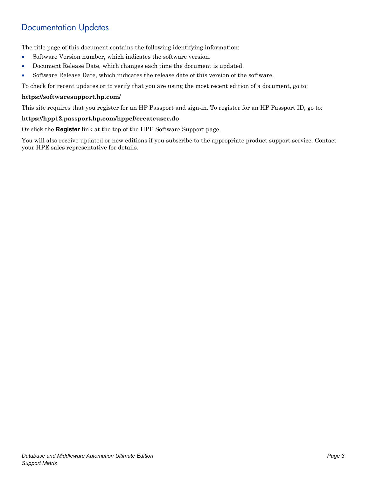## Documentation Updates

The title page of this document contains the following identifying information:

- Software Version number, which indicates the software version.
- Document Release Date, which changes each time the document is updated.
- Software Release Date, which indicates the release date of this version of the software.

To check for recent updates or to verify that you are using the most recent edition of a document, go to:

#### **<https://softwaresupport.hp.com/>**

This site requires that you register for an HP Passport and sign-in. To register for an HP Passport ID, go to:

#### **<https://hpp12.passport.hp.com/hppcf/createuser.do>**

Or click the **Register** link at the top of the HPE Software Support page.

You will also receive updated or new editions if you subscribe to the appropriate product support service. Contact your HPE sales representative for details.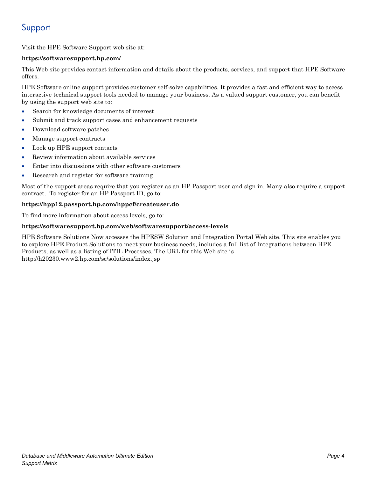# Support

Visit the HPE Software Support web site at:

### **<https://softwaresupport.hp.com/>**

This Web site provides contact information and details about the products, services, and support that HPE Software offers.

HPE Software online support provides customer self-solve capabilities. It provides a fast and efficient way to access interactive technical support tools needed to manage your business. As a valued support customer, you can benefit by using the support web site to:

- Search for knowledge documents of interest
- Submit and track support cases and enhancement requests
- Download software patches
- Manage support contracts
- Look up HPE support contacts
- Review information about available services
- Enter into discussions with other software customers
- Research and register for software training

Most of the support areas require that you register as an HP Passport user and sign in. Many also require a support contract. To register for an HP Passport ID, go to:

### **<https://hpp12.passport.hp.com/hppcf/createuser.do>**

To find more information about access levels, go to:

### **<https://softwaresupport.hp.com/web/softwaresupport/access-levels>**

HPE Software Solutions Now accesses the HPESW Solution and Integration Portal Web site. This site enables you to explore HPE Product Solutions to meet your business needs, includes a full list of Integrations between HPE Products, as well as a listing of ITIL Processes. The URL for this Web site is http://h20230.www2.hp.com/sc/solutions/index.jsp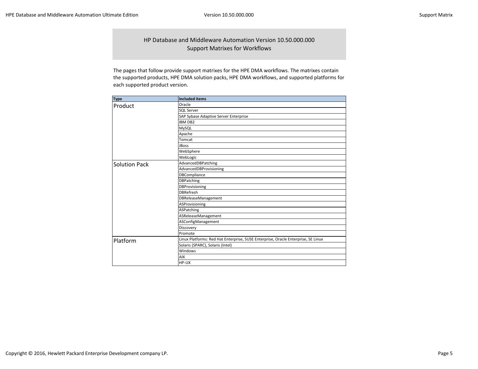HP Database and Middleware Automation Version 10.50.000.000 Support Matrixes for Workflows

The pages that follow provide support matrixes for the HPE DMA workflows. The matrixes contain the supported products, HPE DMA solution packs, HPE DMA workflows, and supported platforms for each supported product version.

| <b>Type</b>          | <b>Included items</b>                                                             |  |  |  |  |  |
|----------------------|-----------------------------------------------------------------------------------|--|--|--|--|--|
| Product              | Oracle                                                                            |  |  |  |  |  |
|                      | <b>SQL Server</b>                                                                 |  |  |  |  |  |
|                      | SAP Sybase Adaptive Server Enterprise                                             |  |  |  |  |  |
|                      | <b>IBM DB2</b>                                                                    |  |  |  |  |  |
|                      | MySQL                                                                             |  |  |  |  |  |
|                      | Apache                                                                            |  |  |  |  |  |
|                      | Tomcat                                                                            |  |  |  |  |  |
|                      | <b>JBoss</b>                                                                      |  |  |  |  |  |
|                      | WebSphere                                                                         |  |  |  |  |  |
|                      | WebLogic                                                                          |  |  |  |  |  |
| <b>Solution Pack</b> | AdvancedDBPatching                                                                |  |  |  |  |  |
|                      | AdvancedDBProvisioning                                                            |  |  |  |  |  |
|                      | <b>DBCompliance</b>                                                               |  |  |  |  |  |
|                      | <b>DBPatching</b>                                                                 |  |  |  |  |  |
|                      | <b>DBProvisioning</b>                                                             |  |  |  |  |  |
|                      | <b>DBRefresh</b>                                                                  |  |  |  |  |  |
|                      | DBReleaseManagement                                                               |  |  |  |  |  |
|                      | ASProvisioning                                                                    |  |  |  |  |  |
|                      | ASPatching                                                                        |  |  |  |  |  |
|                      | ASReleaseManagement                                                               |  |  |  |  |  |
|                      | ASConfigManagement                                                                |  |  |  |  |  |
|                      | Discovery                                                                         |  |  |  |  |  |
|                      | Promote                                                                           |  |  |  |  |  |
| Platform             | Linux Platforms: Red Hat Enterprise, SUSE Enterprise, Oracle Enterprise, SE Linux |  |  |  |  |  |
|                      | Solaris (SPARC), Solaris (Intel)                                                  |  |  |  |  |  |
|                      | Windows                                                                           |  |  |  |  |  |
|                      | <b>AIX</b>                                                                        |  |  |  |  |  |
|                      | HP-UX                                                                             |  |  |  |  |  |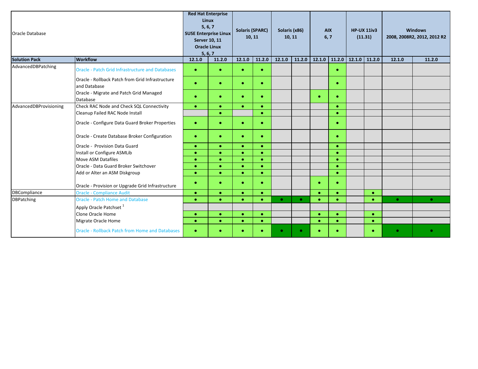| <b>Oracle Database</b> |                                                                  | <b>Red Hat Enterprise</b><br><b>Linux</b><br>5, 6, 7<br>Server 10, 11<br><b>Oracle Linux</b><br>5, 6, 7 |           | <b>SUSE Enterprise Linux</b> |           | <b>Solaris (SPARC)</b><br>Solaris (x86)<br>10, 11<br>10, 11 |           |           |           |        |           | <b>AIX</b><br>6, 7 |           | <b>HP-UX 11iv3</b><br>(11.31) |  |  |  | <b>Windows</b><br>2008, 2008R2, 2012, 2012 R2 |  |
|------------------------|------------------------------------------------------------------|---------------------------------------------------------------------------------------------------------|-----------|------------------------------|-----------|-------------------------------------------------------------|-----------|-----------|-----------|--------|-----------|--------------------|-----------|-------------------------------|--|--|--|-----------------------------------------------|--|
| <b>Solution Pack</b>   | <b>Workflow</b>                                                  | 12.1.0                                                                                                  | 11.2.0    | 12.1.0                       | 11.2.0    | 12.1.0                                                      | 11.2.0    | 12.1.0    | 11.2.0    | 12.1.0 | 11.2.0    | 12.1.0             | 11.2.0    |                               |  |  |  |                                               |  |
| AdvancedDBPatching     | <b>Oracle - Patch Grid Infrastructure and Databases</b>          | $\bullet$                                                                                               | $\bullet$ | $\bullet$                    |           |                                                             |           |           |           |        |           |                    |           |                               |  |  |  |                                               |  |
|                        | Oracle - Rollback Patch from Grid Infrastructure<br>and Database | $\bullet$                                                                                               | $\bullet$ | $\bullet$                    | $\bullet$ |                                                             |           |           | $\bullet$ |        |           |                    |           |                               |  |  |  |                                               |  |
|                        | Oracle - Migrate and Patch Grid Managed<br>Database              | $\bullet$                                                                                               | $\bullet$ | $\bullet$                    |           |                                                             |           | $\bullet$ | $\bullet$ |        |           |                    |           |                               |  |  |  |                                               |  |
| AdvancedDBProvisioning | Check RAC Node and Check SQL Connectivity                        | $\bullet$                                                                                               | $\bullet$ | $\bullet$                    | $\bullet$ |                                                             |           |           | $\bullet$ |        |           |                    |           |                               |  |  |  |                                               |  |
|                        | Cleanup Failed RAC Node Install                                  |                                                                                                         | $\bullet$ |                              | $\bullet$ |                                                             |           |           | $\bullet$ |        |           |                    |           |                               |  |  |  |                                               |  |
|                        | Oracle - Configure Data Guard Broker Properties                  | $\bullet$                                                                                               | $\bullet$ | $\bullet$                    |           |                                                             |           |           | $\bullet$ |        |           |                    |           |                               |  |  |  |                                               |  |
|                        | Oracle - Create Database Broker Configuration                    | $\bullet$                                                                                               | $\bullet$ | $\bullet$                    |           |                                                             |           |           | $\bullet$ |        |           |                    |           |                               |  |  |  |                                               |  |
|                        | Oracle - Provision Data Guard                                    | $\bullet$                                                                                               | $\bullet$ | $\bullet$                    | $\bullet$ |                                                             |           |           | $\bullet$ |        |           |                    |           |                               |  |  |  |                                               |  |
|                        | Install or Configure ASMLib                                      | $\bullet$                                                                                               | $\bullet$ | $\bullet$                    | $\bullet$ |                                                             |           |           | $\bullet$ |        |           |                    |           |                               |  |  |  |                                               |  |
|                        | Move ASM Datafiles                                               | $\bullet$                                                                                               | $\bullet$ | $\bullet$                    | $\bullet$ |                                                             |           |           | $\bullet$ |        |           |                    |           |                               |  |  |  |                                               |  |
|                        | Oracle - Data Guard Broker Switchover                            | $\bullet$                                                                                               | $\bullet$ | $\bullet$                    | $\bullet$ |                                                             |           |           | $\bullet$ |        |           |                    |           |                               |  |  |  |                                               |  |
|                        | Add or Alter an ASM Diskgroup                                    | $\bullet$                                                                                               | $\bullet$ | $\bullet$                    | $\bullet$ |                                                             |           |           | $\bullet$ |        |           |                    |           |                               |  |  |  |                                               |  |
|                        | Oracle - Provision or Upgrade Grid Infrastructure                | $\bullet$                                                                                               | $\bullet$ | $\bullet$                    | $\bullet$ |                                                             |           | $\bullet$ | $\bullet$ |        |           |                    |           |                               |  |  |  |                                               |  |
| <b>DBCompliance</b>    | <b>Oracle - Compliance Audit</b>                                 | $\bullet$                                                                                               | $\bullet$ | $\bullet$                    | $\bullet$ |                                                             |           | $\bullet$ | $\bullet$ |        | $\bullet$ |                    |           |                               |  |  |  |                                               |  |
| <b>DBPatching</b>      | <b>Oracle - Patch Home and Database</b>                          | $\bullet$                                                                                               | $\bullet$ | $\bullet$                    | ٠         | $\bullet$                                                   | $\bullet$ | $\bullet$ | $\bullet$ |        |           | $\bullet$          | $\bullet$ |                               |  |  |  |                                               |  |
|                        | Apply Oracle Patchset <sup>1</sup>                               |                                                                                                         |           |                              |           |                                                             |           |           |           |        |           |                    |           |                               |  |  |  |                                               |  |
|                        | Clone Oracle Home                                                | $\bullet$                                                                                               | $\bullet$ | $\bullet$                    | $\bullet$ |                                                             |           | $\bullet$ | $\bullet$ |        | $\bullet$ |                    |           |                               |  |  |  |                                               |  |
|                        | Migrate Oracle Home                                              | $\bullet$                                                                                               | $\bullet$ | $\bullet$                    | $\bullet$ |                                                             |           | $\bullet$ | $\bullet$ |        |           |                    |           |                               |  |  |  |                                               |  |
|                        | <b>Oracle - Rollback Patch from Home and Databases</b>           | $\bullet$                                                                                               |           | $\bullet$                    |           | $\bullet$                                                   | $\bullet$ | $\bullet$ | $\bullet$ |        |           | $\bullet$          | $\bullet$ |                               |  |  |  |                                               |  |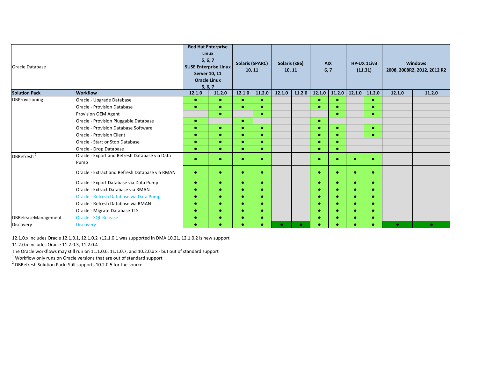| Oracle Database            |                                                |                                | <b>Red Hat Enterprise</b><br><b>Linux</b><br>5, 6, 7<br><b>SUSE Enterprise Linux</b><br><b>Server 10, 11</b> |           | <b>Solaris (SPARC)</b><br>10, 11 |           | Solaris (x86)<br>10, 11 |           | <b>AIX</b><br>6,7 |           | <b>HP-UX 11iv3</b><br>(11.31) | <b>Windows</b><br>2008, 2008R2, 2012, 2012 R2 |           |
|----------------------------|------------------------------------------------|--------------------------------|--------------------------------------------------------------------------------------------------------------|-----------|----------------------------------|-----------|-------------------------|-----------|-------------------|-----------|-------------------------------|-----------------------------------------------|-----------|
|                            |                                                | <b>Oracle Linux</b><br>5, 6, 7 |                                                                                                              |           |                                  |           |                         |           |                   |           |                               |                                               |           |
| <b>Solution Pack</b>       | <b>Workflow</b>                                | 12.1.0                         | 11.2.0                                                                                                       | 12.1.0    | 11.2.0                           | 12.1.0    | 11.2.0                  | 12.1.0    | 11.2.0            | 12.1.0    | 11.2.0                        | 12.1.0                                        | 11.2.0    |
| DBProvisioning             | Oracle - Upgrade Database                      | $\bullet$                      | $\bullet$                                                                                                    | $\bullet$ | $\bullet$                        |           |                         | $\bullet$ | $\bullet$         |           |                               |                                               |           |
|                            | <b>Oracle - Provision Database</b>             | $\bullet$                      |                                                                                                              | $\bullet$ |                                  |           |                         | $\bullet$ |                   |           |                               |                                               |           |
|                            | Provision OEM Agent                            |                                | $\bullet$                                                                                                    |           | $\bullet$                        |           |                         |           |                   |           |                               |                                               |           |
|                            | Oracle - Provision Pluggable Database          | $\bullet$                      |                                                                                                              | $\bullet$ |                                  |           |                         | $\bullet$ |                   |           |                               |                                               |           |
|                            | Oracle - Provision Database Software           | $\bullet$                      |                                                                                                              | $\bullet$ |                                  |           |                         | $\bullet$ |                   |           | $\bullet$                     |                                               |           |
|                            | Oracle - Provision Client                      | $\bullet$                      |                                                                                                              | $\bullet$ | $\bullet$                        |           |                         | $\bullet$ |                   |           |                               |                                               |           |
|                            | Oracle - Start or Stop Database                | $\bullet$                      |                                                                                                              | $\bullet$ | $\bullet$                        |           |                         | $\bullet$ | $\bullet$         |           |                               |                                               |           |
|                            | Oracle - Drop Database                         | $\bullet$                      |                                                                                                              | $\bullet$ |                                  |           |                         | $\bullet$ |                   |           |                               |                                               |           |
| DBRefresh <sup>2</sup>     | Oracle - Export and Refresh Database via Data  | $\bullet$                      |                                                                                                              | $\bullet$ |                                  |           |                         | $\bullet$ | ٠                 | ٠         | $\bullet$                     |                                               |           |
|                            | Pump                                           |                                |                                                                                                              |           |                                  |           |                         |           |                   |           |                               |                                               |           |
|                            | Oracle - Extract and Refresh Database via RMAN | $\bullet$                      |                                                                                                              | $\bullet$ |                                  |           |                         | $\bullet$ | ٠                 | ٠         | $\bullet$                     |                                               |           |
|                            | Oracle - Export Database via Data Pump         | $\bullet$                      |                                                                                                              | $\bullet$ |                                  |           |                         | $\bullet$ | $\bullet$         | $\bullet$ | $\bullet$                     |                                               |           |
|                            | Oracle - Extract Database via RMAN             | $\bullet$                      |                                                                                                              | $\bullet$ |                                  |           |                         | $\bullet$ |                   |           | $\bullet$                     |                                               |           |
|                            | Oracle - Refresh Database via Data Pump        | $\bullet$                      |                                                                                                              | $\bullet$ |                                  |           |                         | $\bullet$ |                   |           |                               |                                               |           |
|                            | Oracle - Refresh Database via RMAN             | $\bullet$                      |                                                                                                              | $\bullet$ | $\bullet$                        |           |                         | $\bullet$ |                   | $\bullet$ | $\bullet$                     |                                               |           |
|                            | Oracle - Migrate Database TTS                  | $\bullet$                      |                                                                                                              | $\bullet$ |                                  |           |                         | $\bullet$ |                   |           | $\bullet$                     |                                               |           |
| <b>DBReleaseManagement</b> | <b>Oracle - SQL Release</b>                    | $\bullet$                      |                                                                                                              |           |                                  |           |                         | $\bullet$ |                   |           |                               |                                               |           |
| Discovery                  | <b>Discovery</b>                               | $\bullet$                      |                                                                                                              | $\bullet$ |                                  | $\bullet$ | $\bullet$               | $\bullet$ |                   |           |                               | $\bullet$                                     | $\bullet$ |

12.1.0.x includes Oracle 12.1.0.1, 12.1.0.2 (12.1.0.1 was supported in DMA 10.21, 12.1.0.2 is new support

11.2.0.x includes Oracle 11.2.0.3, 11.2.0.4

The Oracle workflows may still run on 11.1.0.6, 11.1.0.7, and 10.2.0.x x - but out of standard support<br><sup>1</sup> Workflow only runs on Oracle versions that are out of standard support

<sup>2</sup> DBRefresh Solution Pack: Still supports 10.2.0.5 for the source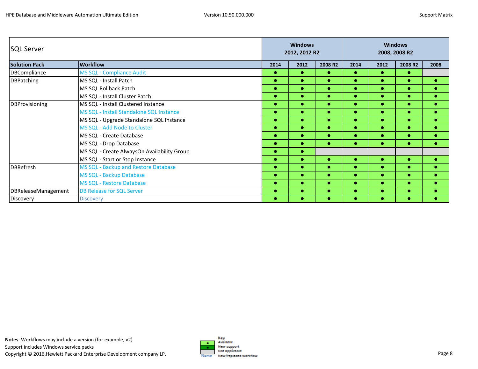| <b>SQL Server</b>    |                                             |                                                                                                                                                                                                                                                                                                                                                    | <b>Windows</b><br><b>Windows</b><br>2012, 2012 R2<br>2008, 2008 R2 |           |           |           |           |           |
|----------------------|---------------------------------------------|----------------------------------------------------------------------------------------------------------------------------------------------------------------------------------------------------------------------------------------------------------------------------------------------------------------------------------------------------|--------------------------------------------------------------------|-----------|-----------|-----------|-----------|-----------|
| <b>Solution Pack</b> | <b>Workflow</b>                             | 2014                                                                                                                                                                                                                                                                                                                                               | 2012                                                               | 2008 R2   | 2014      | 2012      | 2008 R2   | 2008      |
| DBCompliance         | <b>MS SQL - Compliance Audit</b>            | $\bullet$                                                                                                                                                                                                                                                                                                                                          | $\bullet$                                                          | $\bullet$ | $\bullet$ | $\bullet$ | $\bullet$ |           |
| <b>DBPatching</b>    | MS SQL - Install Patch                      |                                                                                                                                                                                                                                                                                                                                                    |                                                                    | $\bullet$ |           | $\bullet$ | ۰         | $\bullet$ |
|                      | MS SQL Rollback Patch                       |                                                                                                                                                                                                                                                                                                                                                    |                                                                    | $\bullet$ | $\bullet$ | $\bullet$ | ۰         | ٠         |
|                      | <b>MS SQL</b> - Install Cluster Patch       | $\bullet$<br>●<br>$\bullet$<br>$\bullet$<br>$\bullet$<br>$\bullet$<br>۰<br>$\bullet$<br>$\bullet$<br>$\bullet$<br>$\bullet$<br>$\bullet$<br>c<br>$\bullet$<br>$\bullet$<br>$\bullet$<br>$\bullet$<br>$\bullet$<br>٠<br>$\bullet$<br>$\bullet$<br>٠<br>$\bullet$<br>$\bullet$<br>٠<br>$\bullet$<br>$\bullet$<br>$\bullet$<br>$\bullet$<br>$\bullet$ | $\bullet$                                                          | $\bullet$ | ۰         | $\bullet$ |           |           |
| DBProvisioning       | MS SQL - Install Clustered Instance         | $\bullet$<br>$\bullet$<br>$\bullet$<br>$\bullet$<br>$\bullet$<br>$\bullet$<br>$\bullet$<br>$\bullet$<br>$\bullet$<br>$\bullet$<br>$\bullet$                                                                                                                                                                                                        | $\bullet$                                                          | ۰         | $\bullet$ |           |           |           |
|                      | MS SQL - Install Standalone SQL Instance    |                                                                                                                                                                                                                                                                                                                                                    |                                                                    |           |           | $\bullet$ | $\bullet$ | $\bullet$ |
|                      | MS SQL - Upgrade Standalone SQL Instance    |                                                                                                                                                                                                                                                                                                                                                    |                                                                    |           |           | $\bullet$ | ۰         | $\bullet$ |
|                      | MS SQL - Add Node to Cluster                |                                                                                                                                                                                                                                                                                                                                                    |                                                                    |           |           | $\bullet$ | ۰         | $\bullet$ |
|                      | <b>MS SQL - Create Database</b>             |                                                                                                                                                                                                                                                                                                                                                    |                                                                    |           |           | $\bullet$ | ●         | $\bullet$ |
|                      | MS SQL - Drop Database                      |                                                                                                                                                                                                                                                                                                                                                    |                                                                    |           |           | $\bullet$ | ۰         | $\bullet$ |
|                      | MS SQL - Create AlwaysOn Availability Group |                                                                                                                                                                                                                                                                                                                                                    |                                                                    |           |           |           |           |           |
|                      | MS SQL - Start or Stop Instance             |                                                                                                                                                                                                                                                                                                                                                    |                                                                    |           |           |           | ۰         | G         |
| <b>DBRefresh</b>     | MS SQL - Backup and Restore Database        |                                                                                                                                                                                                                                                                                                                                                    |                                                                    |           |           | $\bullet$ | $\bullet$ | $\bullet$ |
|                      | <b>MS SQL - Backup Database</b>             |                                                                                                                                                                                                                                                                                                                                                    |                                                                    |           |           | $\bullet$ | ۰         | $\bullet$ |
|                      | <b>MS SQL - Restore Database</b>            |                                                                                                                                                                                                                                                                                                                                                    |                                                                    |           |           | $\bullet$ | $\bullet$ | ۰         |
| DBReleaseManagement  | <b>DB Release for SQL Server</b>            |                                                                                                                                                                                                                                                                                                                                                    |                                                                    |           |           | $\bullet$ | ۰         | $\bullet$ |
| Discovery            | <b>Discovery</b>                            |                                                                                                                                                                                                                                                                                                                                                    |                                                                    |           |           |           |           |           |

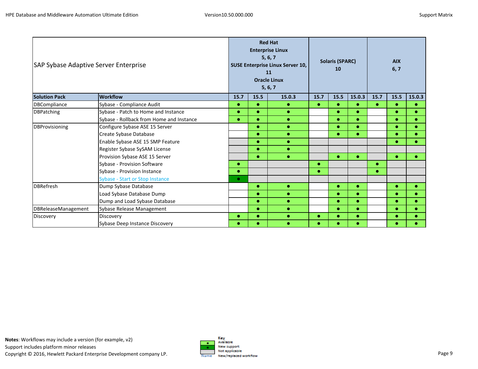| SAP Sybase Adaptive Server Enterprise |                                          | <b>Red Hat</b><br><b>Enterprise Linux</b><br>5, 6, 7<br><b>Solaris (SPARC)</b><br>SUSE Enterprise Linux Server 10,<br>10<br>11<br><b>Oracle Linux</b><br>5, 6, 7 |           |           | <b>AIX</b><br>6, 7 |           |           |           |           |           |
|---------------------------------------|------------------------------------------|------------------------------------------------------------------------------------------------------------------------------------------------------------------|-----------|-----------|--------------------|-----------|-----------|-----------|-----------|-----------|
| <b>Solution Pack</b>                  | <b>Workflow</b>                          | 15.7                                                                                                                                                             | 15.5      | 15.0.3    | 15.7               | 15.5      | 15.0.3    | 15.7      | 15.5      | 15.0.3    |
| DBCompliance                          | Sybase - Compliance Audit                | $\bullet$                                                                                                                                                        | $\bullet$ | $\bullet$ | $\bullet$          | $\bullet$ | $\bullet$ | $\bullet$ | $\bullet$ | $\bullet$ |
| <b>DBPatching</b>                     | Sybase - Patch to Home and Instance      | $\bullet$                                                                                                                                                        | $\bullet$ | $\bullet$ |                    | $\bullet$ | $\bullet$ |           | $\bullet$ | $\bullet$ |
|                                       | Sybase - Rollback from Home and Instance | $\bullet$                                                                                                                                                        | $\bullet$ | $\bullet$ |                    | $\bullet$ | $\bullet$ |           | $\bullet$ | $\bullet$ |
| <b>DBProvisioning</b>                 | Configure Sybase ASE 15 Server           |                                                                                                                                                                  | $\bullet$ | $\bullet$ |                    | $\bullet$ | $\bullet$ |           | ۰         | $\bullet$ |
|                                       | Create Sybase Database                   |                                                                                                                                                                  | $\bullet$ | $\bullet$ |                    | $\bullet$ | $\bullet$ |           |           | $\bullet$ |
|                                       | Enable Sybase ASE 15 SMP Feature         |                                                                                                                                                                  | $\bullet$ | $\bullet$ |                    |           |           |           |           |           |
|                                       | Register Sybase SySAM License            |                                                                                                                                                                  | $\bullet$ | $\bullet$ |                    |           |           |           |           |           |
|                                       | Provision Sybase ASE 15 Server           |                                                                                                                                                                  | $\bullet$ | $\bullet$ |                    | $\bullet$ | $\bullet$ |           | $\bullet$ |           |
|                                       | Sybase - Provision Software              | $\bullet$                                                                                                                                                        |           |           | $\bullet$          |           |           | $\bullet$ |           |           |
|                                       | Sybase - Provision Instance              | $\bullet$                                                                                                                                                        |           |           | $\bullet$          |           |           | ٠         |           |           |
|                                       | Sybase - Start or Stop Instance          | $\bullet$                                                                                                                                                        |           |           |                    |           |           |           |           |           |
| <b>DBRefresh</b>                      | Dump Sybase Database                     |                                                                                                                                                                  | $\bullet$ | $\bullet$ |                    | $\bullet$ | $\bullet$ |           | $\bullet$ | $\bullet$ |
|                                       | Load Sybase Database Dump                |                                                                                                                                                                  | $\bullet$ | $\bullet$ |                    | $\bullet$ | $\bullet$ |           |           | $\bullet$ |
|                                       | Dump and Load Sybase Database            |                                                                                                                                                                  | $\bullet$ | $\bullet$ |                    | $\bullet$ |           |           |           | $\bullet$ |
| DBReleaseManagement                   | Sybase Release Management                |                                                                                                                                                                  | $\bullet$ | $\bullet$ |                    | $\bullet$ | $\bullet$ |           |           | $\bullet$ |
| Discovery                             | Discovery                                | $\bullet$                                                                                                                                                        | $\bullet$ | $\bullet$ | $\bullet$          | $\bullet$ | ۰         |           | ۰         |           |
|                                       | Sybase Deep Instance Discovery           |                                                                                                                                                                  |           | $\bullet$ | $\bullet$          | $\bullet$ |           |           |           |           |

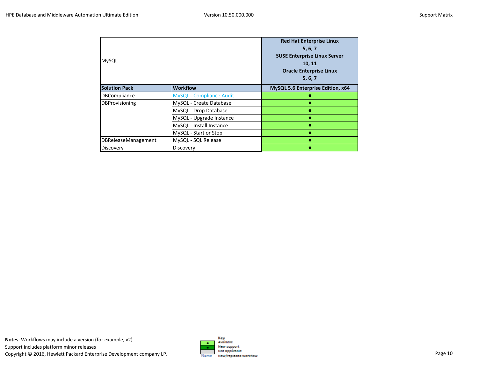| MySQL                      |                                 | <b>Red Hat Enterprise Linux</b><br>5, 6, 7<br><b>SUSE Enterprise Linux Server</b><br>10, 11<br><b>Oracle Enterprise Linux</b><br>5, 6, 7 |
|----------------------------|---------------------------------|------------------------------------------------------------------------------------------------------------------------------------------|
| <b>Solution Pack</b>       | <b>Workflow</b>                 | MySQL 5.6 Enterprise Edition, x64                                                                                                        |
| <b>DBCompliance</b>        | <b>MySQL - Compliance Audit</b> |                                                                                                                                          |
| <b>DBProvisioning</b>      | MySQL - Create Database         |                                                                                                                                          |
|                            | MySQL - Drop Database           |                                                                                                                                          |
|                            | MySQL - Upgrade Instance        |                                                                                                                                          |
|                            | MySQL - Install Instance        |                                                                                                                                          |
|                            | MySQL - Start or Stop           |                                                                                                                                          |
| <b>DBReleaseManagement</b> | MySQL - SQL Release             |                                                                                                                                          |
| Discovery                  | Discovery                       |                                                                                                                                          |

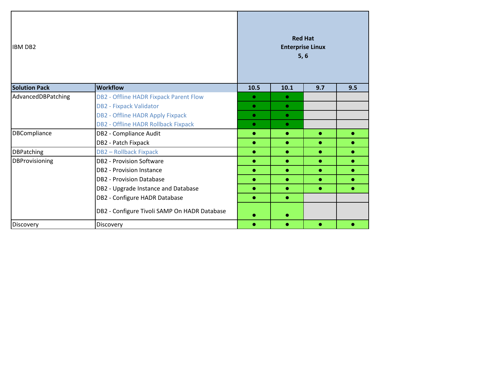| <b>IBM DB2</b>       |                                              |           |           | <b>Red Hat</b><br><b>Enterprise Linux</b><br>5, 6 |           |
|----------------------|----------------------------------------------|-----------|-----------|---------------------------------------------------|-----------|
| <b>Solution Pack</b> | <b>Workflow</b>                              | 10.5      | 10.1      | 9.7                                               | 9.5       |
| AdvancedDBPatching   | DB2 - Offline HADR Fixpack Parent Flow       | $\bullet$ | $\bullet$ |                                                   |           |
|                      | <b>DB2 - Fixpack Validator</b>               | $\bullet$ | $\bullet$ |                                                   |           |
|                      | DB2 - Offline HADR Apply Fixpack             | $\bullet$ | $\bullet$ |                                                   |           |
|                      | DB2 - Offline HADR Rollback Fixpack          | $\bullet$ | $\bullet$ |                                                   |           |
| <b>DBCompliance</b>  | DB2 - Compliance Audit                       | $\bullet$ | $\bullet$ | $\bullet$                                         |           |
|                      | DB2 - Patch Fixpack                          | ۰         | $\bullet$ |                                                   |           |
| <b>DBPatching</b>    | <b>DB2 - Rollback Fixpack</b>                | $\bullet$ | $\bullet$ | $\bullet$                                         | $\bullet$ |
| DBProvisioning       | <b>DB2 - Provision Software</b>              | $\bullet$ | $\bullet$ | $\bullet$                                         | $\bullet$ |
|                      | <b>DB2 - Provision Instance</b>              | $\bullet$ | $\bullet$ | $\bullet$                                         | $\bullet$ |
|                      | <b>DB2 - Provision Database</b>              |           | $\bullet$ |                                                   |           |
|                      | DB2 - Upgrade Instance and Database          | $\bullet$ | $\bullet$ | $\bullet$                                         | $\bullet$ |
|                      | DB2 - Configure HADR Database                | $\bullet$ | $\bullet$ |                                                   |           |
|                      | DB2 - Configure Tivoli SAMP On HADR Database |           |           |                                                   |           |
| Discovery            | Discovery                                    |           |           |                                                   |           |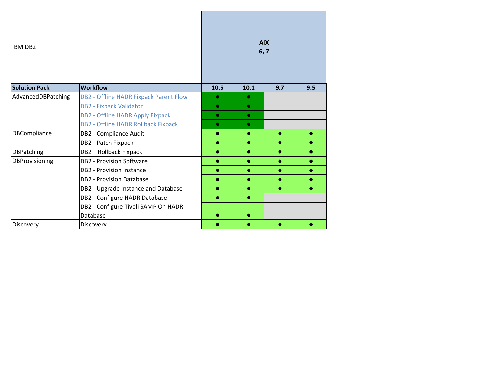| <b>IBM DB2</b><br><b>Solution Pack</b><br><b>Workflow</b> |                                            |           | <b>AIX</b><br>6, 7 |           |           |  |  |  |  |
|-----------------------------------------------------------|--------------------------------------------|-----------|--------------------|-----------|-----------|--|--|--|--|
|                                                           |                                            | 10.5      | 10.1               | 9.7       | 9.5       |  |  |  |  |
| AdvancedDBPatching                                        | DB2 - Offline HADR Fixpack Parent Flow     | $\bullet$ | $\bullet$          |           |           |  |  |  |  |
|                                                           | <b>DB2 - Fixpack Validator</b>             | $\bullet$ | $\bullet$          |           |           |  |  |  |  |
|                                                           | DB2 - Offline HADR Apply Fixpack           | $\bullet$ | $\bullet$          |           |           |  |  |  |  |
|                                                           | <b>DB2 - Offline HADR Rollback Fixpack</b> | $\bullet$ | $\bullet$          |           |           |  |  |  |  |
| DBCompliance                                              | DB2 - Compliance Audit                     | $\bullet$ | $\bullet$          | $\bullet$ | $\bullet$ |  |  |  |  |
|                                                           | DB2 - Patch Fixpack                        | $\bullet$ | $\bullet$          | $\bullet$ | $\bullet$ |  |  |  |  |
| <b>DBPatching</b>                                         | DB2 - Rollback Fixpack                     | $\bullet$ | $\bullet$          | $\bullet$ | $\bullet$ |  |  |  |  |
| DBProvisioning                                            | <b>DB2 - Provision Software</b>            | $\bullet$ | $\bullet$          | $\bullet$ | $\bullet$ |  |  |  |  |
|                                                           | <b>DB2 - Provision Instance</b>            | $\bullet$ | $\bullet$          | $\bullet$ | $\bullet$ |  |  |  |  |
|                                                           | <b>DB2 - Provision Database</b>            | $\bullet$ | $\bullet$          | $\bullet$ | $\bullet$ |  |  |  |  |
|                                                           | DB2 - Upgrade Instance and Database        | $\bullet$ | $\bullet$          | $\bullet$ | $\bullet$ |  |  |  |  |
|                                                           | DB2 - Configure HADR Database              | $\bullet$ | $\bullet$          |           |           |  |  |  |  |
|                                                           | DB2 - Configure Tivoli SAMP On HADR        |           |                    |           |           |  |  |  |  |
|                                                           | Database                                   |           |                    |           |           |  |  |  |  |
| Discovery                                                 | Discovery                                  | ۵         | $\bullet$          |           |           |  |  |  |  |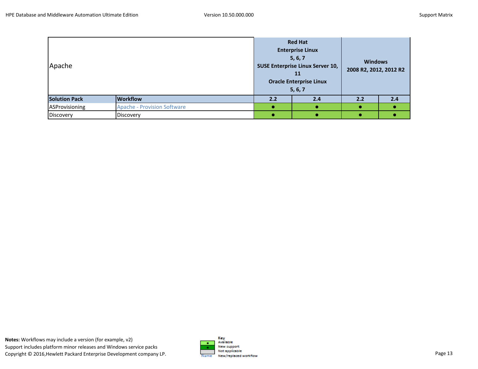| Apache               |                                    | <b>Red Hat</b><br><b>Enterprise Linux</b><br>5, 6, 7<br><b>SUSE Enterprise Linux Server 10,</b><br>11<br><b>Oracle Enterprise Linux</b><br>5, 6, 7<br>2.2<br>2.4 |  | <b>Windows</b><br>2008 R2, 2012, 2012 R2 |     |
|----------------------|------------------------------------|------------------------------------------------------------------------------------------------------------------------------------------------------------------|--|------------------------------------------|-----|
| <b>Solution Pack</b> | <b>Workflow</b>                    |                                                                                                                                                                  |  | 2.2                                      | 2.4 |
| ASProvisioning       | <b>Apache - Provision Software</b> |                                                                                                                                                                  |  |                                          |     |
| Discovery            | Discovery                          |                                                                                                                                                                  |  |                                          |     |

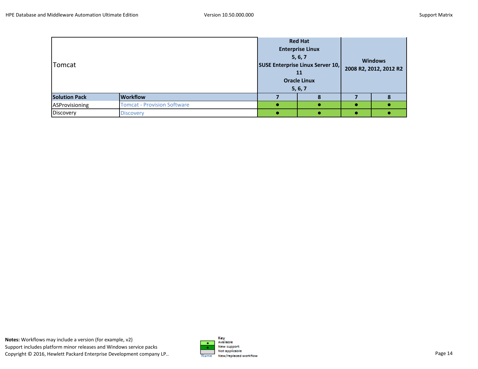| Tomcat               |                                    | <b>Red Hat</b><br><b>Enterprise Linux</b><br>5, 6, 7<br><b>SUSE Enterprise Linux Server 10,</b><br>11<br><b>Oracle Linux</b><br>5, 6, 7 |  | <b>Windows</b><br>2008 R2, 2012, 2012 R2 |  |  |
|----------------------|------------------------------------|-----------------------------------------------------------------------------------------------------------------------------------------|--|------------------------------------------|--|--|
| <b>Solution Pack</b> | <b>Workflow</b>                    |                                                                                                                                         |  |                                          |  |  |
| ASProvisioning       | <b>Tomcat - Provision Software</b> |                                                                                                                                         |  |                                          |  |  |
| Discovery            | <b>Discovery</b>                   |                                                                                                                                         |  |                                          |  |  |

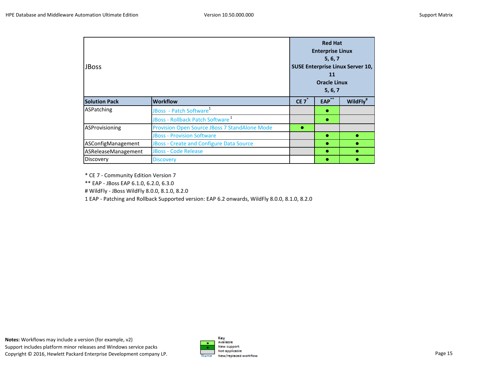| <b>JBoss</b>         |                                                      |      | <b>Red Hat</b><br><b>Enterprise Linux</b><br>5, 6, 7<br><b>SUSE Enterprise Linux Server 10,</b><br>11<br><b>Oracle Linux</b><br>5, 6, 7 |                      |  |  |  |
|----------------------|------------------------------------------------------|------|-----------------------------------------------------------------------------------------------------------------------------------------|----------------------|--|--|--|
| <b>Solution Pack</b> | <b>Workflow</b>                                      | CE 7 | EAP                                                                                                                                     | WildFly <sup>#</sup> |  |  |  |
| ASPatching           | JBoss - Patch Software <sup>1</sup>                  |      | ۰                                                                                                                                       |                      |  |  |  |
|                      | JBoss - Rollback Patch Software <sup>1</sup>         |      | ●                                                                                                                                       |                      |  |  |  |
| ASProvisioning       | <b>Provision Open Source JBoss 7 StandAlone Mode</b> | ●    |                                                                                                                                         |                      |  |  |  |
|                      | <b>JBoss - Provision Software</b>                    |      | $\bullet$                                                                                                                               |                      |  |  |  |
| ASConfigManagement   | <b>JBoss - Create and Configure Data Source</b>      |      | ●                                                                                                                                       |                      |  |  |  |
| ASReleaseManagement  | <b>JBoss - Code Release</b>                          |      | ٠                                                                                                                                       |                      |  |  |  |
| Discovery            | <b>Discovery</b>                                     |      |                                                                                                                                         |                      |  |  |  |

\* CE 7 - Community Edition Version 7

\*\* EAP - JBoss EAP 6.1.0, 6.2.0, 6.3.0

# WildFly - JBoss WildFly 8.0.0, 8.1.0, 8.2.0

1 EAP - Patching and Rollback Supported version: EAP 6.2 onwards, WildFly 8.0.0, 8.1.0, 8.2.0

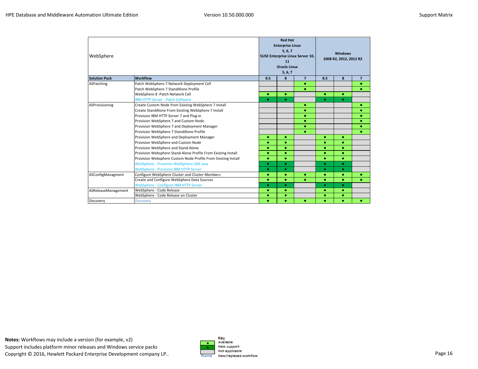| WebSphere            |                                                               |     | <b>Red Hat</b><br><b>Enterprise Linux</b><br>5, 6, 7<br><b>Windows</b><br>SUSE Enterprise Linux Server 10,<br>2008 R2, 2012, 2012 R2<br>11<br><b>Oracle Linux</b><br>5, 6, 7 |                |           |   |                |
|----------------------|---------------------------------------------------------------|-----|------------------------------------------------------------------------------------------------------------------------------------------------------------------------------|----------------|-----------|---|----------------|
| <b>Solution Pack</b> | <b>Workflow</b>                                               | 8.5 | 8                                                                                                                                                                            | $\overline{7}$ | 8.5       | 8 | $\overline{7}$ |
| ASPatching           | Patch WebSphere 7 Network Deployment Cell                     |     |                                                                                                                                                                              | ٠              |           |   | $\bullet$      |
|                      | Patch WebSphere 7 StandAlone Profile                          |     |                                                                                                                                                                              | ۰              |           |   | ۰              |
|                      | WebSphere 8 - Patch Network Cell                              | ۰   | $\bullet$                                                                                                                                                                    |                | $\bullet$ | ۰ |                |
|                      | <b>IBM HTTP Server - Patch Software</b>                       | ۰   | ٠                                                                                                                                                                            |                | ٠         | ۰ |                |
| ASProvisioning       | Create Custom Node from Existing WebSphere 7 Install          |     |                                                                                                                                                                              | ۰              |           |   | ۰              |
|                      | Create StandAlone From Existing WebSphere 7 Install           |     |                                                                                                                                                                              | ۰              |           |   | ۰              |
|                      | Provision IBM HTTP Server 7 and Plug-in                       |     |                                                                                                                                                                              | ۰              |           |   | ۰              |
|                      | Provision WebSphere 7 and Custom Node                         |     |                                                                                                                                                                              | ۰              |           |   | ۰              |
|                      | Provision WebSphere 7 and Deployment Manager                  |     |                                                                                                                                                                              | ۰              |           |   | ۰              |
|                      | Provision WebSphere 7 StandAlone Profile                      |     |                                                                                                                                                                              | ۰              |           |   | $\bullet$      |
|                      | Provision WebSphere and Deployment Manager                    | ۰   | ٠                                                                                                                                                                            |                | ۰         | ۰ |                |
|                      | Provision WebSphere and Custom Node                           | ۰   | ٠                                                                                                                                                                            |                | $\bullet$ | ۰ |                |
|                      | Provision WebSphere and Stand-Alone                           | ۰   | $\bullet$                                                                                                                                                                    |                | $\bullet$ | ۰ |                |
|                      | Provision Websphere Stand-Alone Profile From Existing Install | ۰   | ٠                                                                                                                                                                            |                | ٠         | ۰ |                |
|                      | Provision Websphere Custom Node Profile From Existing Install | ۰   | $\bullet$                                                                                                                                                                    |                | $\bullet$ | ۰ |                |
|                      | WebSphere - Provision WebSphere SDK Java                      | ۰   | ٠                                                                                                                                                                            |                | $\bullet$ | ۰ |                |
|                      | <b>WebSphere - Provision IBM HTTP Server</b>                  | ۰   | ٠                                                                                                                                                                            |                | $\bullet$ | ۰ |                |
| ASConfigManagment    | Configure WebSphere Cluster and Cluster Members               | ۰   | $\bullet$                                                                                                                                                                    | ۰              | ٠         | ۰ |                |
|                      | Create and Configure WebSphere Data Sources                   | ۰   | ٠                                                                                                                                                                            | ۰              | ٠         | ۰ | ۰              |
|                      | WebSphere - Configure IBM HTTP Server                         | ۰   | ٠                                                                                                                                                                            |                | $\bullet$ | ۰ |                |
| ASReleaseManagement  | WebSphere - Code Release                                      | ۰   | ۰                                                                                                                                                                            |                | ٠         | ۰ |                |
|                      | WebSphere - Code Release on Cluster                           | ۰   | ٠                                                                                                                                                                            |                | ٠         | ۰ |                |
| Discovery            | Discovery                                                     | ۰   |                                                                                                                                                                              | ۰              | ۰         | ۰ |                |

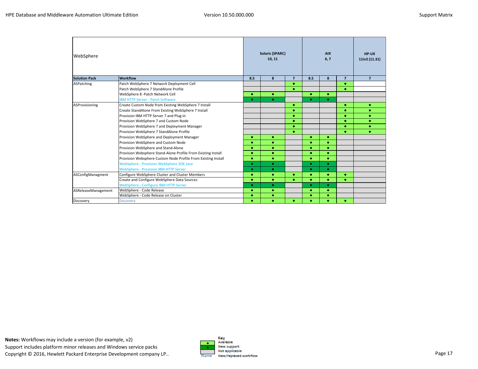| WebSphere            |                                                               |           | <b>Solaris (SPARC)</b><br>10, 11 |                | <b>AIX</b><br>6,7 |           | HP-UX<br>11iv3 (11.31) |                |
|----------------------|---------------------------------------------------------------|-----------|----------------------------------|----------------|-------------------|-----------|------------------------|----------------|
| <b>Solution Pack</b> | <b>Workflow</b>                                               | 8.5       | 8                                | $\overline{7}$ | 8.5               | 8         | $\overline{7}$         | $\overline{7}$ |
| ASPatching           | Patch WebSphere 7 Network Deployment Cell                     |           |                                  | ۰              |                   |           | $\bullet$              |                |
|                      | Patch WebSphere 7 StandAlone Profile                          |           |                                  | $\bullet$      |                   |           | ٠                      |                |
|                      | WebSphere 8 - Patch Network Cell                              | $\bullet$ | ۰                                |                | ۰                 | $\bullet$ |                        |                |
|                      | <b>IBM HTTP Server - Patch Software</b>                       | $\bullet$ | ۰                                |                | $\bullet$         | $\bullet$ |                        |                |
| ASProvisioning       | Create Custom Node from Existing WebSphere 7 Install          |           |                                  | ۰              |                   |           | ۰                      | ۰              |
|                      | Create StandAlone From Existing WebSphere 7 Install           |           |                                  | ۰              |                   |           |                        | ۰              |
|                      | Provision IBM HTTP Server 7 and Plug-in                       |           |                                  | ۰              |                   |           | ٠                      | ۰              |
|                      | Provision WebSphere 7 and Custom Node                         |           |                                  | $\bullet$      |                   |           | $\bullet$              | ۰              |
|                      | Provision WebSphere 7 and Deployment Manager                  |           |                                  | ۰              |                   |           |                        | $\bullet$      |
|                      | Provision WebSphere 7 StandAlone Profile                      |           |                                  | $\bullet$      |                   |           | ۰                      | ٠              |
|                      | Provision WebSphere and Deployment Manager                    | ۰         | ۰                                |                | ۰                 | ۰         |                        |                |
|                      | Provision WebSphere and Custom Node                           | ۰         | ۰                                |                | ۰                 | ٠         |                        |                |
|                      | Provision WebSphere and Stand-Alone                           | ۰         | ۰                                |                | ۰                 | $\bullet$ |                        |                |
|                      | Provision Websphere Stand-Alone Profile From Existing Install | ۰         | ۰                                |                | ٠                 | ٠         |                        |                |
|                      | Provision Websphere Custom Node Profile From Existing Install | ۰         | ۰                                |                | ۰                 | $\bullet$ |                        |                |
|                      | <b>WebSphere - Provision WebSphere SDK Java</b>               | $\bullet$ | $\bullet$                        |                | $\bullet$         | $\bullet$ |                        |                |
|                      | <b>WebSphere - Provision IBM HTTP Server</b>                  | $\bullet$ | $\bullet$                        |                | $\bullet$         | $\bullet$ |                        |                |
| ASConfigManagment    | Configure WebSphere Cluster and Cluster Members               | ۰         | ۰                                | $\bullet$      | ۰                 | $\bullet$ | $\bullet$              |                |
|                      | Create and Configure WebSphere Data Sources                   | ۰         | ۰                                | ۰              | ۰                 | ٠         | ٠                      |                |
|                      | WebSphere - Configure IBM HTTP Server                         | ۰         | $\bullet$                        |                | ۰                 | $\bullet$ |                        |                |
| ASReleaseManagement  | WebSphere - Code Release                                      | ۰         | ۰                                |                | ۰                 | ۰         |                        |                |
|                      | WebSphere - Code Release on Cluster                           | ۰         | ۰                                |                | ٠                 | ٠         |                        |                |
| Discovery            | <b>Discovery</b>                                              | ۰         | $\bullet$                        | ٠              | ٠                 | ٠         | ۰                      |                |

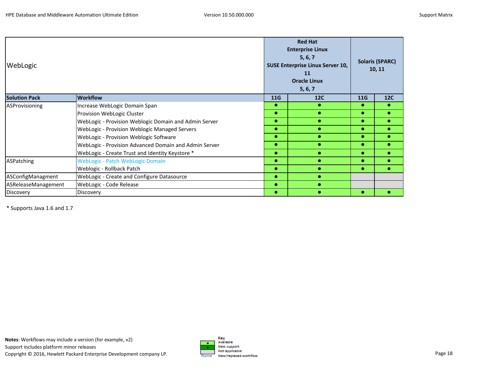| WebLogic             |                                                       |           | <b>Red Hat</b><br><b>Enterprise Linux</b><br>5, 6, 7<br><b>SUSE Enterprise Linux Server 10,</b><br>11<br><b>Oracle Linux</b><br>5, 6, 7 |           | <b>Solaris (SPARC)</b><br>10, 11 |
|----------------------|-------------------------------------------------------|-----------|-----------------------------------------------------------------------------------------------------------------------------------------|-----------|----------------------------------|
| <b>Solution Pack</b> | <b>Workflow</b>                                       | 11G       | 12C                                                                                                                                     | 11G       | <b>12C</b>                       |
| ASProvisioning       | Increase WebLogic Domain Span                         |           |                                                                                                                                         | $\bullet$ |                                  |
|                      | Provision WebLogic Cluster                            | $\bullet$ |                                                                                                                                         | $\bullet$ |                                  |
|                      | WebLogic - Provision Weblogic Domain and Admin Server | $\bullet$ |                                                                                                                                         | $\bullet$ |                                  |
|                      | WebLogic - Provision Weblogic Managed Servers         |           |                                                                                                                                         |           |                                  |
|                      | WebLogic - Provision Weblogic Software                |           |                                                                                                                                         | $\bullet$ |                                  |
|                      | WebLogic - Provision Advanced Domain and Admin Server | $\bullet$ |                                                                                                                                         | $\bullet$ |                                  |
|                      | WebLogic - Create Trust and Identity Keystore *       | $\bullet$ |                                                                                                                                         | $\bullet$ |                                  |
| ASPatching           | <b>WebLogic - Patch WebLogic Domain</b>               | $\bullet$ |                                                                                                                                         | $\bullet$ |                                  |
|                      | Weblogic - Rollback Patch                             | $\bullet$ |                                                                                                                                         | $\bullet$ |                                  |
| ASConfigManagment    | WebLogic - Create and Configure Datasource            | $\bullet$ |                                                                                                                                         |           |                                  |
| ASReleaseManagement  | WebLogic - Code Release                               |           |                                                                                                                                         |           |                                  |
| Discovery            | Discovery                                             | $\bullet$ |                                                                                                                                         |           |                                  |

\* Supports Java 1.6 and 1.7

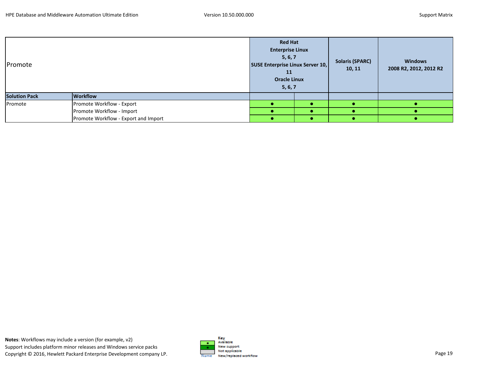| Promote              |                                      | <b>Red Hat</b><br><b>Enterprise Linux</b><br>5, 6, 7<br><b>SUSE Enterprise Linux Server 10,</b><br>11<br><b>Oracle Linux</b><br>5, 6, 7 |  | <b>Solaris (SPARC)</b><br>10, 11 | <b>Windows</b><br>2008 R2, 2012, 2012 R2 |  |
|----------------------|--------------------------------------|-----------------------------------------------------------------------------------------------------------------------------------------|--|----------------------------------|------------------------------------------|--|
| <b>Solution Pack</b> | <b>Workflow</b>                      |                                                                                                                                         |  |                                  |                                          |  |
| Promote              | Promote Workflow - Export            |                                                                                                                                         |  |                                  |                                          |  |
|                      | Promote Workflow - Import            |                                                                                                                                         |  |                                  |                                          |  |
|                      | Promote Workflow - Export and Import |                                                                                                                                         |  |                                  |                                          |  |

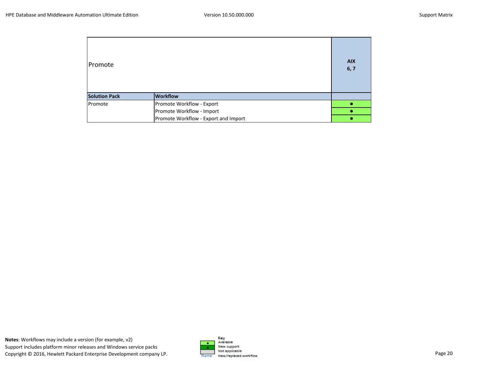| Promote              |                                      | <b>AIX</b><br>6, 7 |
|----------------------|--------------------------------------|--------------------|
| <b>Solution Pack</b> | <b>Workflow</b>                      |                    |
| Promote              | Promote Workflow - Export            |                    |
|                      | Promote Workflow - Import            |                    |
|                      | Promote Workflow - Export and Import |                    |

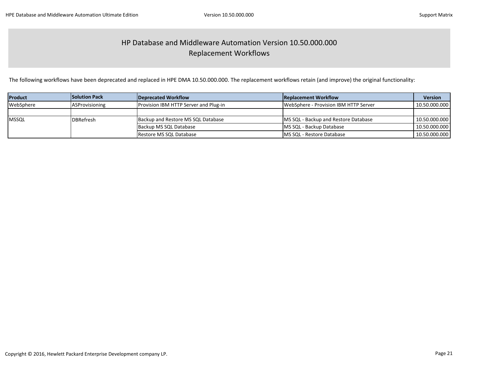### HP Database and Middleware Automation Version 10.50.000.000 Replacement Workflows

The following workflows have been deprecated and replaced in HPE DMA 10.50.000.000. The replacement workflows retain (and improve) the original functionality:

| <b>Product</b> | <b>Solution Pack</b>  | Deprecated Workflow                          | <b>Replacement Workflow</b>           | <b>Version</b> |
|----------------|-----------------------|----------------------------------------------|---------------------------------------|----------------|
| WebSphere      | <b>ASProvisioning</b> | <b>Provision IBM HTTP Server and Plug-in</b> | WebSphere - Provision IBM HTTP Server | 10.50.000.000  |
|                |                       |                                              |                                       |                |
| <b>MSSQL</b>   | <b>DBRefresh</b>      | Backup and Restore MS SQL Database           | MS SQL - Backup and Restore Database  | 10.50.000.000  |
|                |                       | Backup MS SQL Database                       | MS SQL - Backup Database              | 10.50.000.000  |
|                |                       | Restore MS SQL Database                      | <b>IMS SQL - Restore Database</b>     | 10.50.000.000  |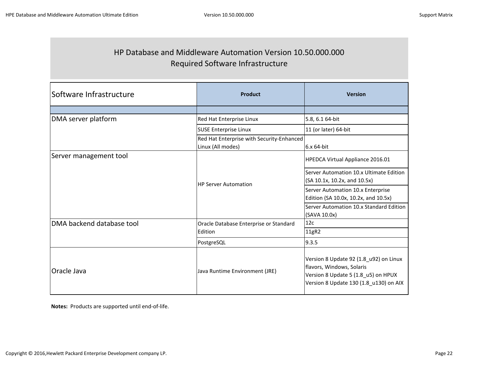### HP Database and Middleware Automation Version 10.50.000.000 Required Software Infrastructure

| lSoftware Infrastructure  | Product                                                        | <b>Version</b>                                                                                                                                       |  |
|---------------------------|----------------------------------------------------------------|------------------------------------------------------------------------------------------------------------------------------------------------------|--|
|                           |                                                                |                                                                                                                                                      |  |
| DMA server platform       | Red Hat Enterprise Linux                                       | 5.8, 6.1 64-bit                                                                                                                                      |  |
|                           | <b>SUSE Enterprise Linux</b>                                   | 11 (or later) 64-bit                                                                                                                                 |  |
|                           | Red Hat Enterprise with Security-Enhanced<br>Linux (All modes) | 6.x 64-bit                                                                                                                                           |  |
| Server management tool    |                                                                | HPEDCA Virtual Appliance 2016.01                                                                                                                     |  |
|                           | <b>HP Server Automation</b>                                    | Server Automation 10.x Ultimate Edition<br>(SA 10.1x, 10.2x, and 10.5x)                                                                              |  |
|                           |                                                                | Server Automation 10.x Enterprise<br>Edition (SA 10.0x, 10.2x, and 10.5x)                                                                            |  |
|                           |                                                                | Server Automation 10.x Standard Edition<br>(SAVA 10.0x)                                                                                              |  |
| DMA backend database tool | Oracle Database Enterprise or Standard                         | 12c                                                                                                                                                  |  |
|                           | Edition                                                        | 11gR2                                                                                                                                                |  |
|                           | PostgreSQL                                                     | 9.3.5                                                                                                                                                |  |
| <b>Oracle Java</b>        | Java Runtime Environment (JRE)                                 | Version 8 Update 92 (1.8_u92) on Linux<br>flavors, Windows, Solaris<br>Version 8 Update 5 (1.8_u5) on HPUX<br>Version 8 Update 130 (1.8 u130) on AIX |  |

**Notes:** Products are supported until end-of-life.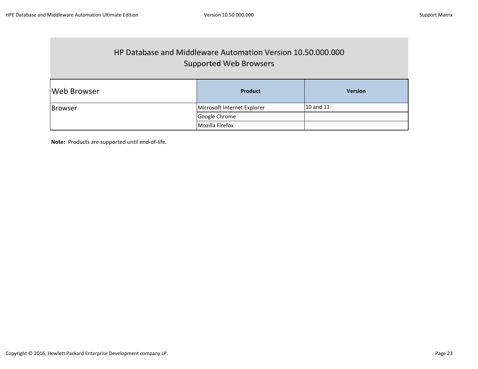### HP Database and Middleware Automation Version 10.50.000.000 Supported Web Browsers

| <b>Web Browser</b> | <b>Product</b>              | <b>Version</b> |
|--------------------|-----------------------------|----------------|
| <b>Browser</b>     | Microsoft Internet Explorer | 10 and 11      |
|                    | Google Chrome               |                |
|                    | Mozilla Firefox             |                |

**Note:** Products are supported until end-of-life.